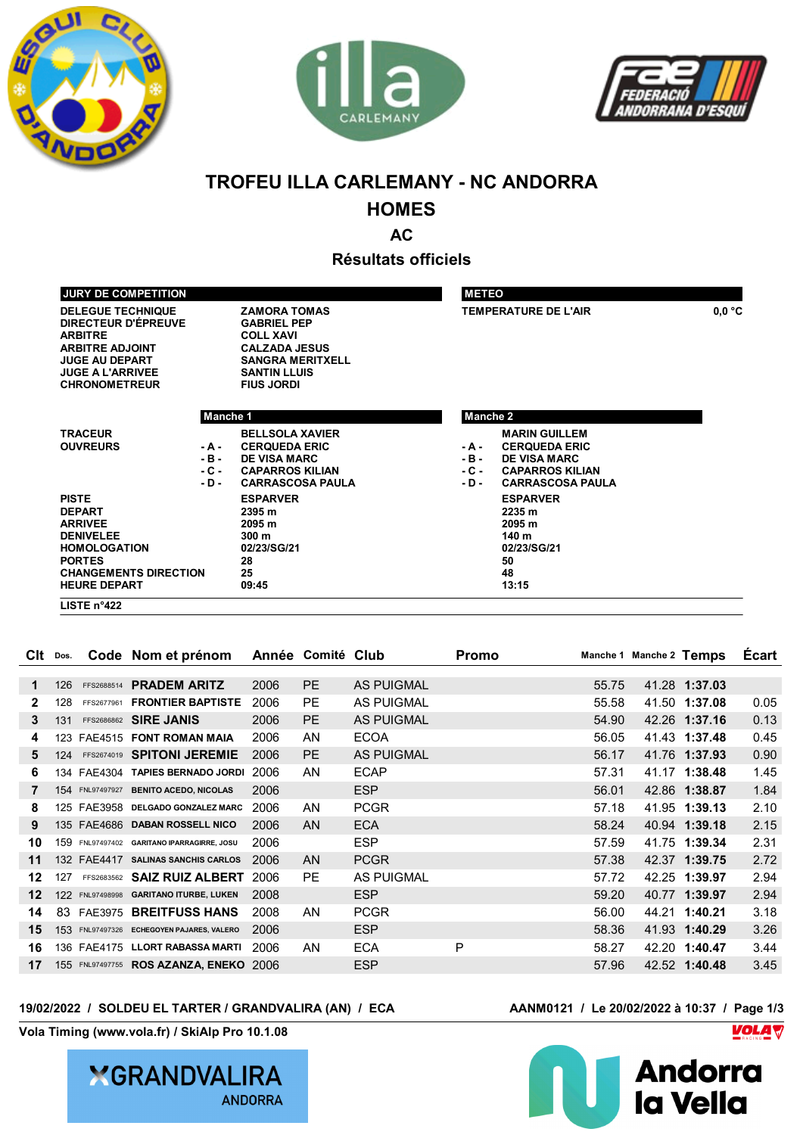





# **TROFEU ILLA CARLEMANY - NC ANDORRA**

## **HOMES**

**AC**

**Résultats officiels**

| <b>DELEGUE TECHNIQUE</b>                     | <b>ZAMORA TOMAS</b>                    | <b>TEMPERATURE DE L'AIR</b>       | 0.0 °C |
|----------------------------------------------|----------------------------------------|-----------------------------------|--------|
| <b>DIRECTEUR D'ÉPREUVE</b><br><b>ARBITRE</b> | <b>GABRIEL PEP</b><br><b>COLL XAVI</b> |                                   |        |
| <b>ARBITRE ADJOINT</b>                       | <b>CALZADA JESUS</b>                   |                                   |        |
| <b>JUGE AU DEPART</b>                        | <b>SANGRA MERITXELL</b>                |                                   |        |
| <b>JUGE A L'ARRIVEE</b>                      | <b>SANTIN LLUIS</b>                    |                                   |        |
| <b>CHRONOMETREUR</b>                         | <b>FIUS JORDI</b>                      |                                   |        |
|                                              |                                        |                                   |        |
|                                              | Manche 1                               | <b>Manche 2</b>                   |        |
|                                              |                                        |                                   |        |
| <b>TRACEUR</b>                               | <b>BELLSOLA XAVIER</b>                 | <b>MARIN GUILLEM</b>              |        |
| <b>OUVREURS</b><br>- A -                     | <b>CERQUEDA ERIC</b>                   | <b>CERQUEDA ERIC</b><br>- A -     |        |
| - B -                                        | <b>DE VISA MARC</b>                    | $-B -$<br><b>DE VISA MARC</b>     |        |
| - C -                                        | <b>CAPARROS KILIAN</b>                 | $-C -$<br><b>CAPARROS KILIAN</b>  |        |
| - D -                                        | <b>CARRASCOSA PAULA</b>                | <b>CARRASCOSA PAULA</b><br>$-D -$ |        |
| <b>PISTE</b>                                 | <b>ESPARVER</b>                        | <b>ESPARVER</b>                   |        |
| <b>DEPART</b>                                | 2395 m                                 | 2235 m                            |        |
| <b>ARRIVEE</b>                               | 2095 m                                 | 2095 m                            |        |
| <b>DENIVELEE</b>                             | 300 <sub>m</sub>                       | 140 m                             |        |
| <b>HOMOLOGATION</b>                          | 02/23/SG/21                            | 02/23/SG/21                       |        |
| <b>PORTES</b>                                | 28                                     | 50                                |        |
| <b>CHANGEMENTS DIRECTION</b>                 | 25                                     | 48                                |        |
| <b>HEURE DEPART</b>                          | 09:45                                  | 13:15                             |        |

| Clt | Dos. |                 | Code Nom et prénom                        |      | Année Comité Club |                   | Promo |       | Manche 1 Manche 2 Temps |               | <b>Ecart</b> |
|-----|------|-----------------|-------------------------------------------|------|-------------------|-------------------|-------|-------|-------------------------|---------------|--------------|
|     |      |                 |                                           |      |                   |                   |       |       |                         |               |              |
| 1   | 126  | FFS2688514      | <b>PRADEM ARITZ</b>                       | 2006 | PE.               | <b>AS PUIGMAL</b> |       | 55.75 |                         | 41.28 1:37.03 |              |
| 2   | 128  | FFS2677961      | <b>FRONTIER BAPTISTE</b>                  | 2006 | <b>PE</b>         | <b>AS PUIGMAL</b> |       | 55.58 |                         | 41.50 1:37.08 | 0.05         |
| 3   | 131  |                 | FFS2686862 SIRE JANIS                     | 2006 | PE.               | <b>AS PUIGMAL</b> |       | 54.90 |                         | 42.26 1:37.16 | 0.13         |
| 4   | 123  | <b>FAE4515</b>  | <b>FONT ROMAN MAIA</b>                    | 2006 | AN                | <b>ECOA</b>       |       | 56.05 |                         | 41.43 1:37.48 | 0.45         |
| 5   | 124  |                 | FFS2674019 SPITONI JEREMIE                | 2006 | PE.               | <b>AS PUIGMAL</b> |       | 56.17 |                         | 41.76 1:37.93 | 0.90         |
| 6   | 134  | FAE4304         | <b>TAPIES BERNADO JORDI</b>               | 2006 | AN                | <b>ECAP</b>       |       | 57.31 |                         | 41.17 1:38.48 | 1.45         |
|     |      | 154 FNL97497927 | <b>BENITO ACEDO, NICOLAS</b>              | 2006 |                   | <b>ESP</b>        |       | 56.01 |                         | 42.86 1:38.87 | 1.84         |
| 8   |      | 125 FAE3958     | DELGADO GONZALEZ MARC                     | 2006 | AN.               | <b>PCGR</b>       |       | 57.18 |                         | 41.95 1:39.13 | 2.10         |
| 9   |      |                 | 135 FAE4686 DABAN ROSSELL NICO            | 2006 | AN                | <b>ECA</b>        |       | 58.24 |                         | 40.94 1:39.18 | 2.15         |
| 10  | 159  |                 | FNL97497402 GARITANO IPARRAGIRRE, JOSU    | 2006 |                   | <b>ESP</b>        |       | 57.59 |                         | 41.75 1:39.34 | 2.31         |
| 11  |      | 132 FAE4417     | <b>SALINAS SANCHIS CARLOS</b>             | 2006 | AN.               | <b>PCGR</b>       |       | 57.38 |                         | 42.37 1:39.75 | 2.72         |
| 12  | 127  | FFS2683562      | <b>SAIZ RUIZ ALBERT</b>                   | 2006 | <b>PE</b>         | <b>AS PUIGMAL</b> |       | 57.72 |                         | 42.25 1:39.97 | 2.94         |
| 12  | 122  |                 | FNL97498998 GARITANO ITURBE, LUKEN        | 2008 |                   | <b>ESP</b>        |       | 59.20 |                         | 40.77 1:39.97 | 2.94         |
| 14  | 83   | <b>FAE3975</b>  | <b>BREITFUSS HANS</b>                     | 2008 | AN                | <b>PCGR</b>       |       | 56.00 |                         | 44.21 1:40.21 | 3.18         |
| 15  |      |                 | 153 FNL97497326 ECHEGOYEN PAJARES, VALERO | 2006 |                   | <b>ESP</b>        |       | 58.36 |                         | 41.93 1:40.29 | 3.26         |
| 16  |      |                 | 136 FAE4175 LLORT RABASSA MARTI           | 2006 | AN                | <b>ECA</b>        | P     | 58.27 |                         | 42.20 1:40.47 | 3.44         |
| 17  |      |                 | 155 FNL97497755 ROS AZANZA, ENEKO 2006    |      |                   | <b>ESP</b>        |       | 57.96 |                         | 42.52 1:40.48 | 3.45         |
|     |      |                 |                                           |      |                   |                   |       |       |                         |               |              |

#### **19/02/2022 / SOLDEU EL TARTER / GRANDVALIRA (AN) / ECA AANM0121 / Le 20/02/2022 à 10:37 / Page 1/3**

**Vola Timing (www.vola.fr) / SkiAlp Pro 10.1.08**



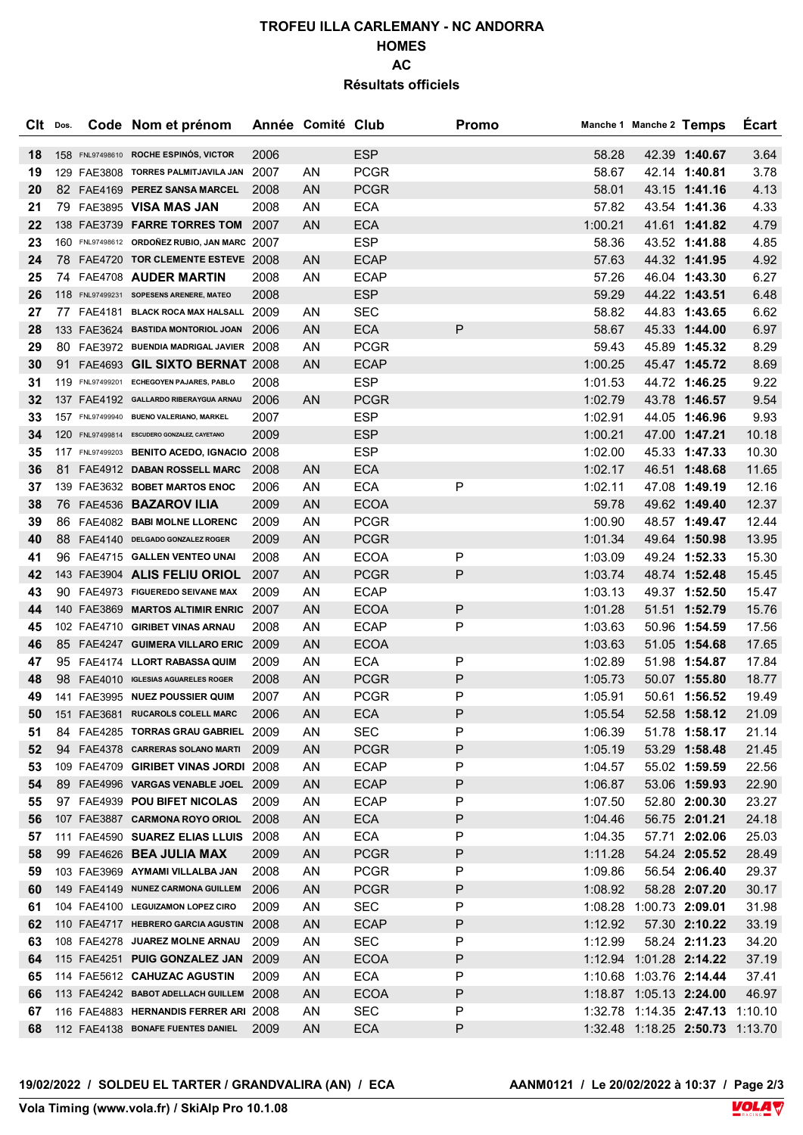## **TROFEU ILLA CARLEMANY - NC ANDORRA HOMES AC Résultats officiels**

| Clt      | Dos. | Code Nom et prénom                                                            |        | Année Comité Club |                            | <b>Promo</b> |                    | Manche 1 Manche 2 Temps         |                                | <b>Ecart</b>   |
|----------|------|-------------------------------------------------------------------------------|--------|-------------------|----------------------------|--------------|--------------------|---------------------------------|--------------------------------|----------------|
| 18       |      | 158 FNL97498610 ROCHE ESPINÓS, VICTOR                                         | 2006   |                   | <b>ESP</b>                 |              | 58.28              |                                 | 42.39 1:40.67                  | 3.64           |
| 19       |      | 129 FAE3808 TORRES PALMITJAVILA JAN 2007                                      |        | ΑN                | <b>PCGR</b>                |              | 58.67              |                                 | 42.14 1:40.81                  | 3.78           |
| 20       |      | 82 FAE4169 PEREZ SANSA MARCEL                                                 | 2008   | <b>AN</b>         | <b>PCGR</b>                |              | 58.01              |                                 | 43.15 1:41.16                  | 4.13           |
| 21       |      | 79 FAE3895 VISA MAS JAN                                                       | 2008   | ΑN                | <b>ECA</b>                 |              | 57.82              |                                 | 43.54 1:41.36                  | 4.33           |
| 22       |      | 138 FAE3739 <b>FARRE TORRES TOM</b> 2007                                      |        | <b>AN</b>         | <b>ECA</b>                 |              | 1:00.21            |                                 | 41.61 1:41.82                  | 4.79           |
| 23       |      | 160 FNL97498612 ORDOÑEZ RUBIO, JAN MARC 2007                                  |        |                   | <b>ESP</b>                 |              | 58.36              |                                 | 43.52 1:41.88                  | 4.85           |
| 24       |      | 78 FAE4720 TOR CLEMENTE ESTEVE 2008                                           |        | AN                | <b>ECAP</b>                |              | 57.63              |                                 | 44.32 1:41.95                  | 4.92           |
| 25       |      | 74 FAE4708 AUDER MARTIN                                                       | 2008   | AN                | <b>ECAP</b>                |              | 57.26              |                                 | 46.04 1:43.30                  | 6.27           |
| 26       |      | 118 FNL97499231 SOPESENS ARENERE, MATEO                                       | 2008   |                   | <b>ESP</b>                 |              | 59.29              |                                 | 44.22 1:43.51                  | 6.48           |
| 27       |      | 77 FAE4181 BLACK ROCA MAX HALSALL 2009                                        |        | ΑN                | <b>SEC</b>                 |              | 58.82              |                                 | 44.83 1:43.65                  | 6.62           |
| 28       |      | 133 FAE3624 BASTIDA MONTORIOL JOAN 2006                                       |        | <b>AN</b>         | <b>ECA</b>                 | P            | 58.67              |                                 | 45.33 1:44.00                  | 6.97           |
| 29       |      | 80 FAE3972 BUENDIA MADRIGAL JAVIER 2008                                       |        | AN                | <b>PCGR</b>                |              | 59.43              |                                 | 45.89 1:45.32                  | 8.29           |
| 30       |      | 91 FAE4693 GIL SIXTO BERNAT 2008                                              |        | AN                | <b>ECAP</b>                |              | 1:00.25            |                                 | 45.47 1:45.72                  | 8.69           |
| 31       |      | 119 FNL97499201 ECHEGOYEN PAJARES, PABLO                                      | 2008   |                   | <b>ESP</b>                 |              | 1:01.53            |                                 | 44.72 1:46.25                  | 9.22           |
| 32       |      | 137 FAE4192 GALLARDO RIBERAYGUA ARNAU                                         | 2006   | <b>AN</b>         | <b>PCGR</b>                |              | 1:02.79            |                                 | 43.78 1:46.57                  | 9.54           |
| 33       |      | 157 FNL97499940 BUENO VALERIANO, MARKEL                                       | 2007   |                   | <b>ESP</b>                 |              | 1:02.91            |                                 | 44.05 1:46.96                  | 9.93           |
| 34       |      | 120 FNL97499814 ESCUDERO GONZALEZ, CAYETANO                                   | 2009   |                   | <b>ESP</b>                 |              | 1:00.21            |                                 | 47.00 1:47.21                  | 10.18          |
| 35       |      | 117 FNL97499203 BENITO ACEDO, IGNACIO 2008                                    |        |                   | <b>ESP</b>                 |              | 1:02.00            |                                 | 45.33 1:47.33                  | 10.30          |
| 36       |      | 81 FAE4912 DABAN ROSSELL MARC                                                 | 2008   | AN                | <b>ECA</b>                 |              | 1:02.17            |                                 | 46.51 1:48.68                  | 11.65          |
| 37       |      | 139 FAE3632 BOBET MARTOS ENOC                                                 | 2006   | AN                | <b>ECA</b>                 | Ρ            | 1:02.11            |                                 | 47.08 1:49.19                  | 12.16          |
| 38       |      | 76 FAE4536 BAZAROV ILIA                                                       | 2009   | <b>AN</b>         | <b>ECOA</b>                |              | 59.78              |                                 | 49.62 1:49.40                  | 12.37          |
| 39       |      | 86 FAE4082 BABI MOLNE LLORENC                                                 | 2009   | AN                | <b>PCGR</b>                |              | 1:00.90            |                                 | 48.57 1:49.47                  | 12.44          |
| 40       |      | 88 FAE4140 DELGADO GONZALEZ ROGER                                             | 2009   | <b>AN</b>         | <b>PCGR</b>                |              | 1:01.34            |                                 | 49.64 1:50.98                  | 13.95          |
| 41       |      | 96 FAE4715 GALLEN VENTEO UNAI                                                 | 2008   | AN                | <b>ECOA</b>                | Ρ            | 1:03.09            |                                 | 49.24 1:52.33                  | 15.30          |
| 42       |      | 143 FAE3904 ALIS FELIU ORIOL                                                  | 2007   | <b>AN</b>         | <b>PCGR</b>                | P            | 1:03.74            |                                 | 48.74 1:52.48                  | 15.45          |
| 43       |      | 90 FAE4973 FIGUEREDO SEIVANE MAX                                              | 2009   | AN                | <b>ECAP</b>                |              | 1:03.13            |                                 | 49.37 1:52.50                  | 15.47          |
| 44       |      | 140 FAE3869 MARTOS ALTIMIR ENRIC 2007                                         |        | <b>AN</b>         | <b>ECOA</b>                | Ρ            | 1:01.28            |                                 | 51.51 1:52.79                  | 15.76          |
| 45       |      | 102 FAE4710 GIRIBET VINAS ARNAU                                               | 2008   | ΑN                | <b>ECAP</b>                | Ρ            | 1:03.63            |                                 | 50.96 1:54.59                  | 17.56          |
| 46       |      | 85 FAE4247 GUIMERA VILLARO ERIC                                               | - 2009 | <b>AN</b>         | <b>ECOA</b>                |              | 1:03.63            |                                 | 51.05 1:54.68                  | 17.65          |
| 47       |      | 95 FAE4174 LLORT RABASSA QUIM                                                 | 2009   | AN                | <b>ECA</b>                 | Ρ            | 1:02.89            |                                 | 51.98 1:54.87                  | 17.84          |
| 48       |      | 98 FAE4010 IGLESIAS AGUARELES ROGER                                           | 2008   | <b>AN</b>         | <b>PCGR</b>                | Ρ            | 1:05.73            |                                 | 50.07 1:55.80                  | 18.77          |
| 49       |      | 141 FAE3995 NUEZ POUSSIER QUIM                                                | 2007   | AN                | <b>PCGR</b>                | Ρ            | 1:05.91            |                                 | 50.61 1:56.52                  | 19.49          |
| 50       |      | 151 FAE3681 RUCAROLS COLELL MARC                                              | 2006   | AN                | <b>ECA</b>                 | P            | 1:05.54            |                                 | 52.58 1:58.12                  | 21.09          |
| 51       |      | 84 FAE4285 TORRAS GRAU GABRIEL 2009                                           |        | ΑN                | <b>SEC</b>                 | Ρ            | 1:06.39            |                                 | 51.78 1:58.17                  | 21.14          |
| 52       |      | 94 FAE4378 CARRERAS SOLANO MARTI 2009<br>109 FAE4709 GIRIBET VINAS JORDI 2008 |        | AN<br>AN          | <b>PCGR</b><br><b>ECAP</b> | Ρ<br>Ρ       | 1:05.19            |                                 | 53.29 1:58.48<br>55.02 1:59.59 | 21.45          |
| 53<br>54 |      | 89 FAE4996 VARGAS VENABLE JOEL 2009                                           |        | AN.               | <b>ECAP</b>                | Ρ            | 1:04.57<br>1:06.87 |                                 | 53.06 1:59.93                  | 22.56<br>22.90 |
| 55       |      | 97 FAE4939 POU BIFET NICOLAS                                                  | 2009   | AN                | <b>ECAP</b>                | Ρ            | 1:07.50            |                                 | 52.80 2:00.30                  | 23.27          |
| 56       |      | 107 FAE3887 CARMONA ROYO ORIOL 2008                                           |        | <b>AN</b>         | <b>ECA</b>                 | Ρ            | 1:04.46            |                                 | 56.75 2:01.21                  | 24.18          |
| 57       |      | 111 FAE4590 SUAREZ ELIAS LLUIS 2008                                           |        | AN                | <b>ECA</b>                 | Ρ            | 1:04.35            |                                 | 57.71 2:02.06                  | 25.03          |
| 58       |      | 99 FAE4626 BEA JULIA MAX                                                      | 2009   | AN                | <b>PCGR</b>                | Ρ            | 1:11.28            |                                 | 54.24 2:05.52                  | 28.49          |
| 59       |      | 103 FAE3969 AYMAMI VILLALBA JAN                                               | 2008   | AN                | <b>PCGR</b>                | Ρ            | 1:09.86            |                                 | 56.54 2:06.40                  | 29.37          |
| 60       |      | 149 FAE4149 NUNEZ CARMONA GUILLEM                                             | 2006   | AN                | <b>PCGR</b>                | Ρ            | 1:08.92            |                                 | 58.28 2:07.20                  | 30.17          |
| 61       |      | 104 FAE4100 LEGUIZAMON LOPEZ CIRO                                             | 2009   | AN                | <b>SEC</b>                 | Ρ            |                    | 1:08.28 1:00.73 2:09.01         |                                | 31.98          |
| 62       |      | 110 FAE4717 HEBRERO GARCIA AGUSTIN 2008                                       |        | <b>AN</b>         | <b>ECAP</b>                | Ρ            | 1:12.92            |                                 | 57.30 2:10.22                  | 33.19          |
| 63       |      | 108 FAE4278 JUAREZ MOLNE ARNAU                                                | 2009   | AN                | <b>SEC</b>                 | Ρ            | 1:12.99            |                                 | 58.24 2:11.23                  | 34.20          |
| 64       |      | 115 FAE4251 PUIG GONZALEZ JAN 2009                                            |        | AN                | <b>ECOA</b>                | Ρ            |                    | 1:12.94 1:01.28 2:14.22         |                                | 37.19          |
| 65       |      | 114 FAE5612 CAHUZAC AGUSTIN                                                   | 2009   | AN                | <b>ECA</b>                 | Ρ            |                    | 1:10.68 1:03.76 2:14.44         |                                | 37.41          |
| 66       |      | 113 FAE4242 BABOT ADELLACH GUILLEM 2008                                       |        | AN                | <b>ECOA</b>                | Ρ            |                    | 1:18.87 1:05.13 2:24.00         |                                | 46.97          |
| 67       |      | 116 FAE4883 HERNANDIS FERRER ARI 2008                                         |        | AN.               | <b>SEC</b>                 | Ρ            |                    | 1:32.78 1:14.35 2:47.13 1:10.10 |                                |                |
| 68       |      | 112 FAE4138 BONAFE FUENTES DANIEL                                             | 2009   | <b>AN</b>         | <b>ECA</b>                 | Ρ            |                    | 1:32.48 1:18.25 2:50.73 1:13.70 |                                |                |
|          |      |                                                                               |        |                   |                            |              |                    |                                 |                                |                |

**19/02/2022 / SOLDEU EL TARTER / GRANDVALIRA (AN) / ECA** 

**AANM0121** / Le 20/02/2022 à 10:37 / Page 2/3